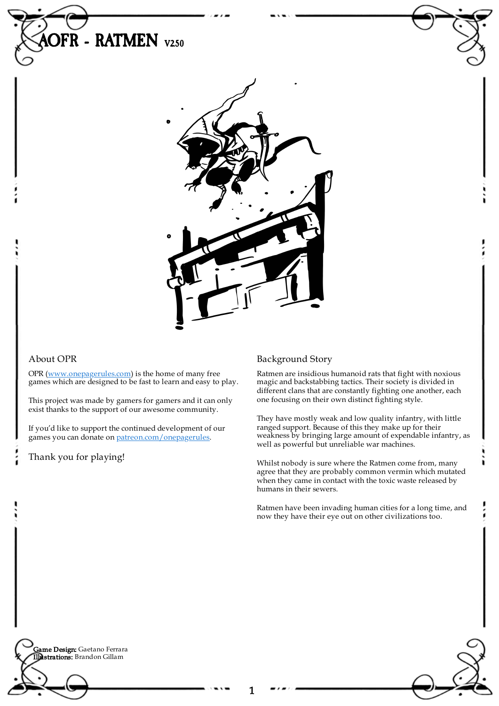

## About OPR

OPR [\(www.onepagerules.com](https://webapp.onepagerules.com/army-books/view/tOWt5fgqK2nfpoBN~6/https//www.onepagerules.com)) is the home of many free games which are designed to be fast to learn and easy to play.

This project was made by gamers for gamers and it can only exist thanks to the support of our awesome community.

If you'd like to support the continued development of our games you can donate on [patreon.com/onepagerules](https://www.patreon.com/onepagerules).

Thank you for playing!

## Background Story

1

Ratmen are insidious humanoid rats that fight with noxious magic and backstabbing tactics. Their society is divided in different clans that are constantly fighting one another, each one focusing on their own distinct fighting style.

They have mostly weak and low quality infantry, with little ranged support. Because of this they make up for their weakness by bringing large amount of expendable infantry, as well as powerful but unreliable war machines.

Whilst nobody is sure where the Ratmen come from, many agree that they are probably common vermin which mutated when they came in contact with the toxic waste released by humans in their sewers.

١

Ratmen have been invading human cities for a long time, and now they have their eye out on other civilizations too.

**Game Design:** Gaetano Ferrara Illustrations: Brandon Gillam